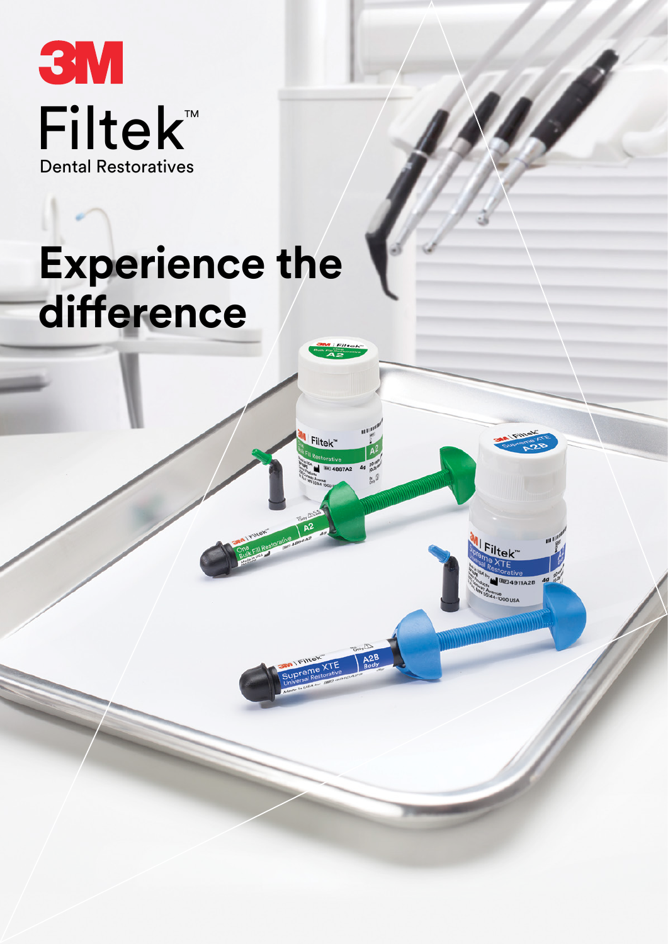**3M Filtek™ Dental Restoratives** 

# **Experience the** difference

Filtek"

iltek

4911A2B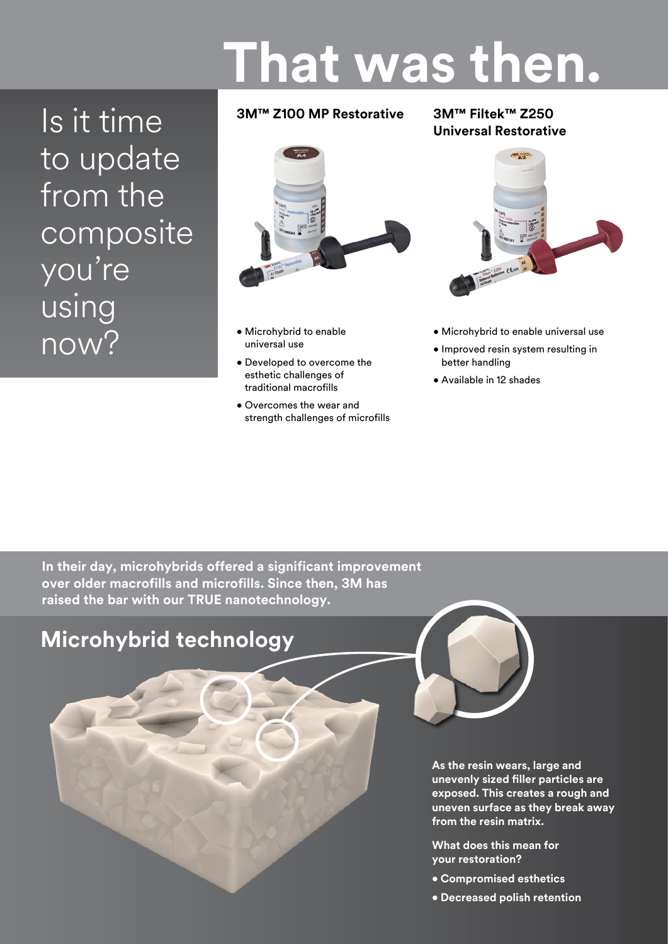# **That was then.**

Is it time to update from the composite you're using now?

## **3M™ Z100 MP Restorative**

## **3M™ Filtek™ Z250 Universal Restorative**



- Microhybrid to enable universal use
- Developed to overcome the esthetic challenges of traditional macrofills
- Overcomes the wear and strength challenges of microfills



- Microhybrid to enable universal use
- Improved resin system resulting in better handling
- Available in 12 shades

**In their day, microhybrids offered a significant improvement over older macrofills and microfills. Since then, 3M has raised the bar with our TRUE nanotechnology.**



**As the resin wears, large and unevenly sized filler particles are exposed. This creates a rough and uneven surface as they break away from the resin matrix.** 

**What does this mean for your restoration?**

- **Compromised esthetics**
- **Decreased polish retention**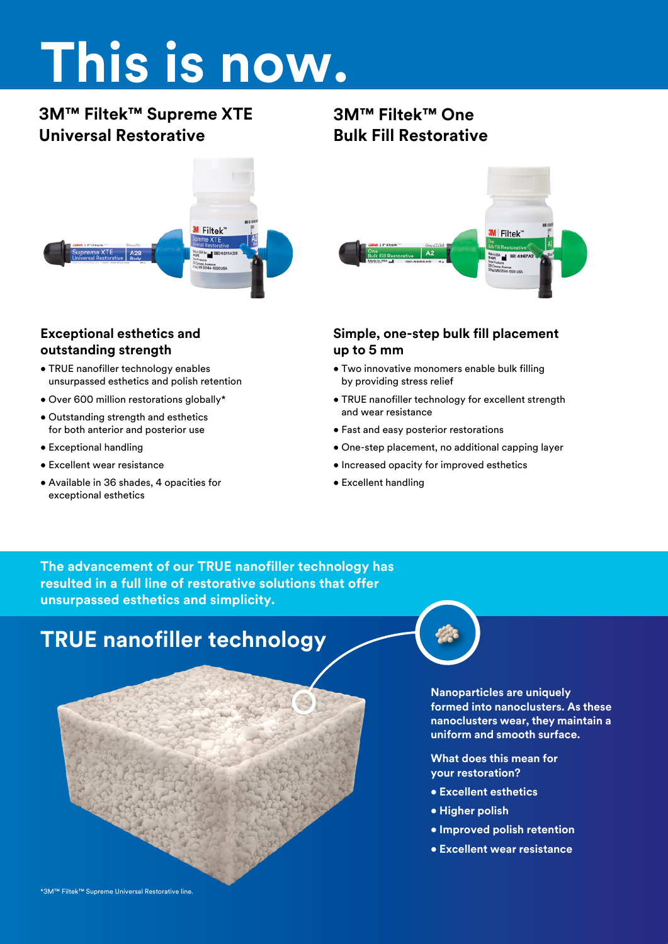# **This is now.**

# **3M™ Filtek™ Supreme XTE Universal Restorative**



## **Exceptional esthetics and outstanding strength**

- TRUE nanofiller technology enables unsurpassed esthetics and polish retention
- Over 600 million restorations globally\*
- Outstanding strength and esthetics for both anterior and posterior use
- Exceptional handling
- Excellent wear resistance
- Available in 36 shades, 4 opacities for exceptional esthetics

# **3M™ Filtek™ One Bulk Fill Restorative**



## **Simple, one-step bulk fill placement up to 5 mm**

- Two innovative monomers enable bulk filling by providing stress relief
- TRUE nanofiller technology for excellent strength and wear resistance
- Fast and easy posterior restorations
- One-step placement, no additional capping layer
- Increased opacity for improved esthetics
- Excellent handling

**The advancement of our TRUE nanofiller technology has resulted in a full line of restorative solutions that offer unsurpassed esthetics and simplicity.**

# **TRUE nanofiller technology**



**Nanoparticles are uniquely formed into nanoclusters. As these nanoclusters wear, they maintain a uniform and smooth surface.** 

**What does this mean for your restoration?**

- **Excellent esthetics**
- **Higher polish**
- **Improved polish retention**
- **Excellent wear resistance**